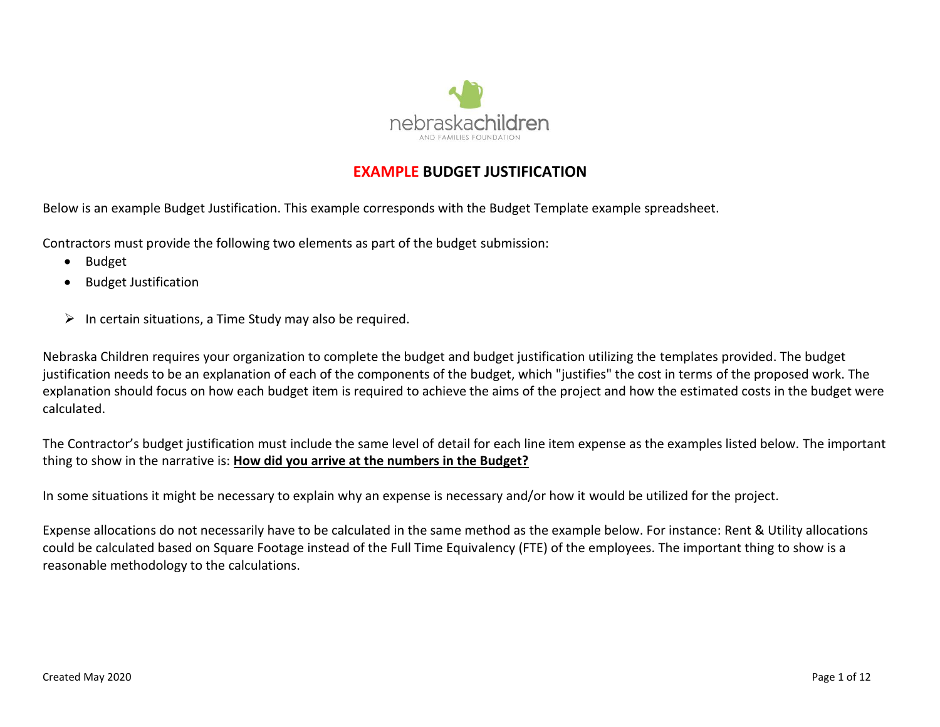

# **EXAMPLE BUDGET JUSTIFICATION**

Below is an example Budget Justification. This example corresponds with the Budget Template example spreadsheet.

Contractors must provide the following two elements as part of the budget submission:

- Budget
- Budget Justification
- $\triangleright$  In certain situations, a Time Study may also be required.

Nebraska Children requires your organization to complete the budget and budget justification utilizing the templates provided. The budget justification needs to be an explanation of each of the components of the budget, which "justifies" the cost in terms of the proposed work. The explanation should focus on how each budget item is required to achieve the aims of the project and how the estimated costs in the budget were calculated.

The Contractor's budget justification must include the same level of detail for each line item expense as the examples listed below. The important thing to show in the narrative is: **How did you arrive at the numbers in the Budget?**

In some situations it might be necessary to explain why an expense is necessary and/or how it would be utilized for the project.

Expense allocations do not necessarily have to be calculated in the same method as the example below. For instance: Rent & Utility allocations could be calculated based on Square Footage instead of the Full Time Equivalency (FTE) of the employees. The important thing to show is a reasonable methodology to the calculations.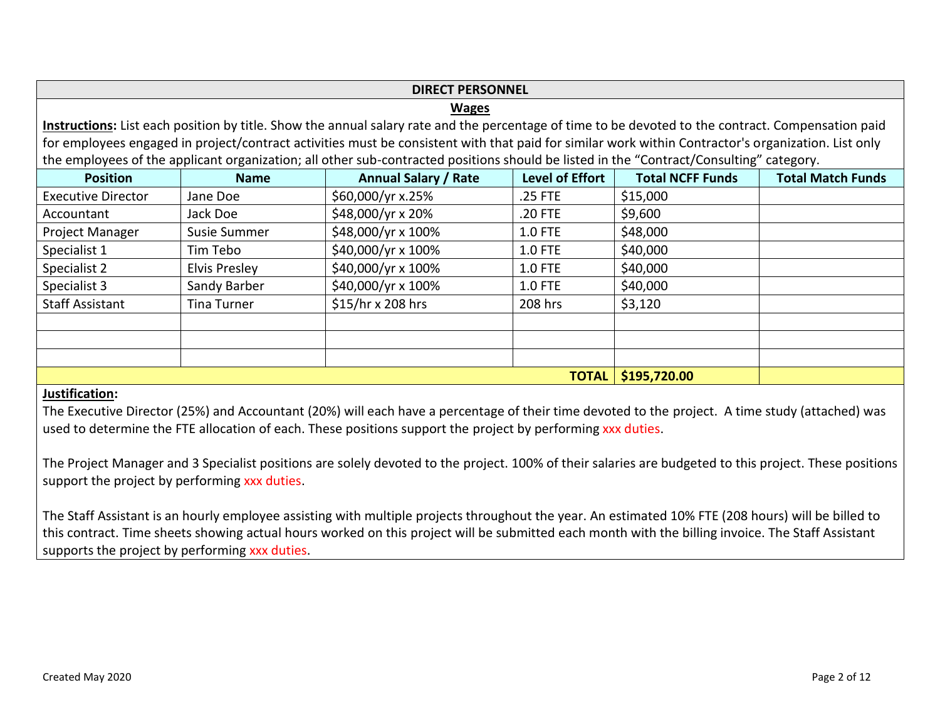# **DIRECT PERSONNEL**

## **Wages**

**Instructions:** List each position by title. Show the annual salary rate and the percentage of time to be devoted to the contract. Compensation paid for employees engaged in project/contract activities must be consistent with that paid for similar work within Contractor's organization. List only the employees of the applicant organization; all other sub-contracted positions should be listed in the "Contract/Consulting" category.

| <b>Position</b>           | <b>Name</b>        | <b>Annual Salary / Rate</b> | <b>Level of Effort</b> | <b>Total NCFF Funds</b> | <b>Total Match Funds</b> |
|---------------------------|--------------------|-----------------------------|------------------------|-------------------------|--------------------------|
| <b>Executive Director</b> | Jane Doe           | \$60,000/yr x.25%           | .25 FTE                | \$15,000                |                          |
| Accountant                | Jack Doe           | \$48,000/yr x 20%           | .20 FTE                | \$9,600                 |                          |
| Project Manager           | Susie Summer       | \$48,000/yr x 100%          | $1.0$ FTE              | \$48,000                |                          |
| Specialist 1              | Tim Tebo           | \$40,000/yr x 100%          | <b>1.0 FTE</b>         | \$40,000                |                          |
| Specialist 2              | Elvis Presley      | \$40,000/yr x 100%          | <b>1.0 FTE</b>         | \$40,000                |                          |
| Specialist 3              | Sandy Barber       | \$40,000/yr x 100%          | <b>1.0 FTE</b>         | \$40,000                |                          |
| <b>Staff Assistant</b>    | <b>Tina Turner</b> | \$15/hr x 208 hrs           | 208 hrs                | \$3,120                 |                          |
|                           |                    |                             |                        |                         |                          |
|                           |                    |                             |                        |                         |                          |
|                           |                    |                             |                        |                         |                          |
|                           |                    |                             | <b>TOTAL</b>           | \$195,720.00            |                          |

# **Justification:**

The Executive Director (25%) and Accountant (20%) will each have a percentage of their time devoted to the project. A time study (attached) was used to determine the FTE allocation of each. These positions support the project by performing xxx duties.

The Project Manager and 3 Specialist positions are solely devoted to the project. 100% of their salaries are budgeted to this project. These positions support the project by performing xxx duties.

The Staff Assistant is an hourly employee assisting with multiple projects throughout the year. An estimated 10% FTE (208 hours) will be billed to this contract. Time sheets showing actual hours worked on this project will be submitted each month with the billing invoice. The Staff Assistant supports the project by performing xxx duties.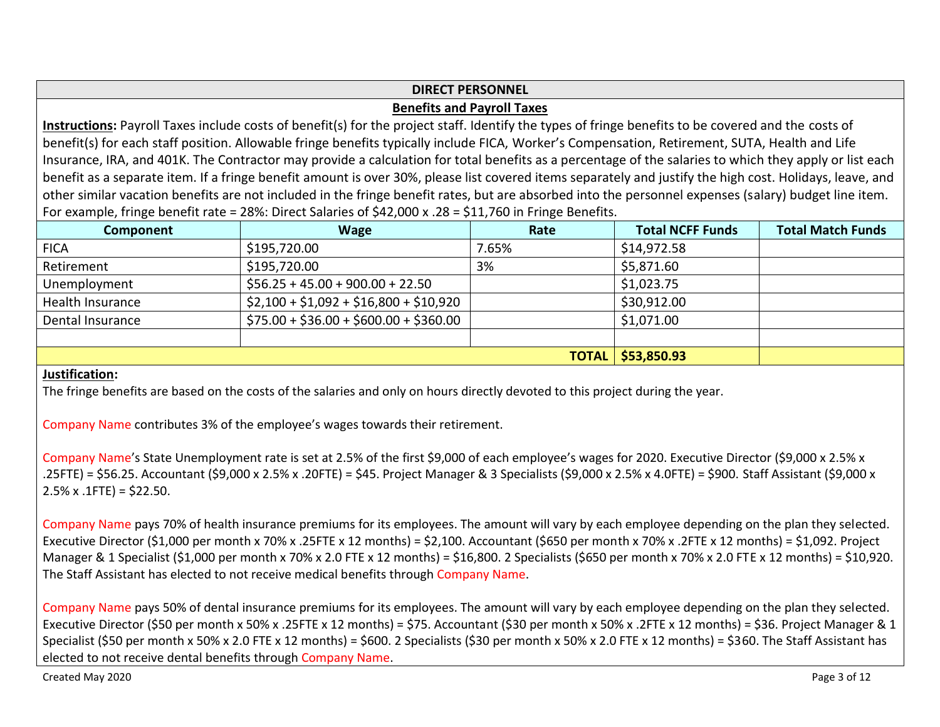# **DIRECT PERSONNEL**

# **Benefits and Payroll Taxes**

**Instructions:** Payroll Taxes include costs of benefit(s) for the project staff. Identify the types of fringe benefits to be covered and the costs of benefit(s) for each staff position. Allowable fringe benefits typically include FICA, Worker's Compensation, Retirement, SUTA, Health and Life Insurance, IRA, and 401K. The Contractor may provide a calculation for total benefits as a percentage of the salaries to which they apply or list each benefit as a separate item. If a fringe benefit amount is over 30%, please list covered items separately and justify the high cost. Holidays, leave, and other similar vacation benefits are not included in the fringe benefit rates, but are absorbed into the personnel expenses (salary) budget line item. For example, fringe benefit rate = 28%: Direct Salaries of \$42,000 x .28 = \$11,760 in Fringe Benefits.

| Component        | <b>Wage</b>                           | Rate  | <b>Total NCFF Funds</b>    | <b>Total Match Funds</b> |
|------------------|---------------------------------------|-------|----------------------------|--------------------------|
| <b>FICA</b>      | \$195,720.00                          | 7.65% | \$14,972.58                |                          |
| Retirement       | \$195,720.00                          | 3%    | \$5,871.60                 |                          |
| Unemployment     | $$56.25 + 45.00 + 900.00 + 22.50$     |       | \$1,023.75                 |                          |
| Health Insurance | $$2,100 + $1,092 + $16,800 + $10,920$ |       | \$30,912.00                |                          |
| Dental Insurance | $$75.00 + $36.00 + $600.00 + $360.00$ |       | \$1,071.00                 |                          |
|                  |                                       |       |                            |                          |
|                  |                                       |       | <b>TOTAL   \$53,850.93</b> |                          |

## **Justification:**

The fringe benefits are based on the costs of the salaries and only on hours directly devoted to this project during the year.

Company Name contributes 3% of the employee's wages towards their retirement.

Company Name's State Unemployment rate is set at 2.5% of the first \$9,000 of each employee's wages for 2020. Executive Director (\$9,000 x 2.5% x .25FTE) = \$56.25. Accountant (\$9,000 x 2.5% x .20FTE) = \$45. Project Manager & 3 Specialists (\$9,000 x 2.5% x 4.0FTE) = \$900. Staff Assistant (\$9,000 x  $2.5\% \times .1$ FTE) = \$22.50.

Company Name pays 70% of health insurance premiums for its employees. The amount will vary by each employee depending on the plan they selected. Executive Director (\$1,000 per month x 70% x .25FTE x 12 months) = \$2,100. Accountant (\$650 per month x 70% x .2FTE x 12 months) = \$1,092. Project Manager & 1 Specialist (\$1,000 per month x 70% x 2.0 FTE x 12 months) = \$16,800. 2 Specialists (\$650 per month x 70% x 2.0 FTE x 12 months) = \$10,920. The Staff Assistant has elected to not receive medical benefits through Company Name.

Company Name pays 50% of dental insurance premiums for its employees. The amount will vary by each employee depending on the plan they selected. Executive Director (\$50 per month x 50% x .25FTE x 12 months) = \$75. Accountant (\$30 per month x 50% x .2FTE x 12 months) = \$36. Project Manager & 1 Specialist (\$50 per month x 50% x 2.0 FTE x 12 months) = \$600. 2 Specialists (\$30 per month x 50% x 2.0 FTE x 12 months) = \$360. The Staff Assistant has elected to not receive dental benefits through Company Name.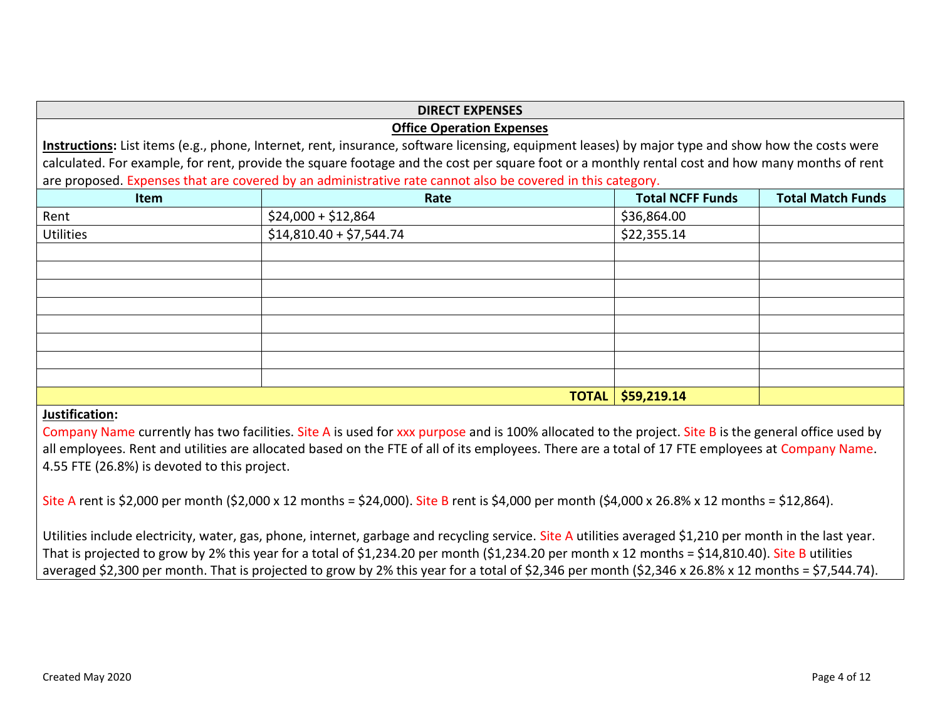## **DIRECT EXPENSES Office Operation Expenses**

**Instructions:** List items (e.g., phone, Internet, rent, insurance, software licensing, equipment leases) by major type and show how the costs were calculated. For example, for rent, provide the square footage and the cost per square foot or a monthly rental cost and how many months of rent are proposed. Expenses that are covered by an administrative rate cannot also be covered in this category.

| Item             | Rate                     | <b>Total NCFF Funds</b>      | <b>Total Match Funds</b> |
|------------------|--------------------------|------------------------------|--------------------------|
| Rent             | $$24,000 + $12,864$      | \$36,864.00                  |                          |
| <b>Utilities</b> | $$14,810.40 + $7,544.74$ | \$22,355.14                  |                          |
|                  |                          |                              |                          |
|                  |                          |                              |                          |
|                  |                          |                              |                          |
|                  |                          |                              |                          |
|                  |                          |                              |                          |
|                  |                          |                              |                          |
|                  |                          |                              |                          |
|                  |                          |                              |                          |
|                  |                          | <b>TOTAL</b> $ $ \$59,219.14 |                          |

# **Justification:**

Company Name currently has two facilities. Site A is used for xxx purpose and is 100% allocated to the project. Site B is the general office used by all employees. Rent and utilities are allocated based on the FTE of all of its employees. There are a total of 17 FTE employees at Company Name. 4.55 FTE (26.8%) is devoted to this project.

Site A rent is \$2,000 per month (\$2,000 x 12 months = \$24,000). Site B rent is \$4,000 per month (\$4,000 x 26.8% x 12 months = \$12,864).

Utilities include electricity, water, gas, phone, internet, garbage and recycling service. Site A utilities averaged \$1,210 per month in the last year. That is projected to grow by 2% this year for a total of \$1,234.20 per month (\$1,234.20 per month x 12 months = \$14,810.40). Site B utilities averaged \$2,300 per month. That is projected to grow by 2% this year for a total of \$2,346 per month (\$2,346 x 26.8% x 12 months = \$7,544.74).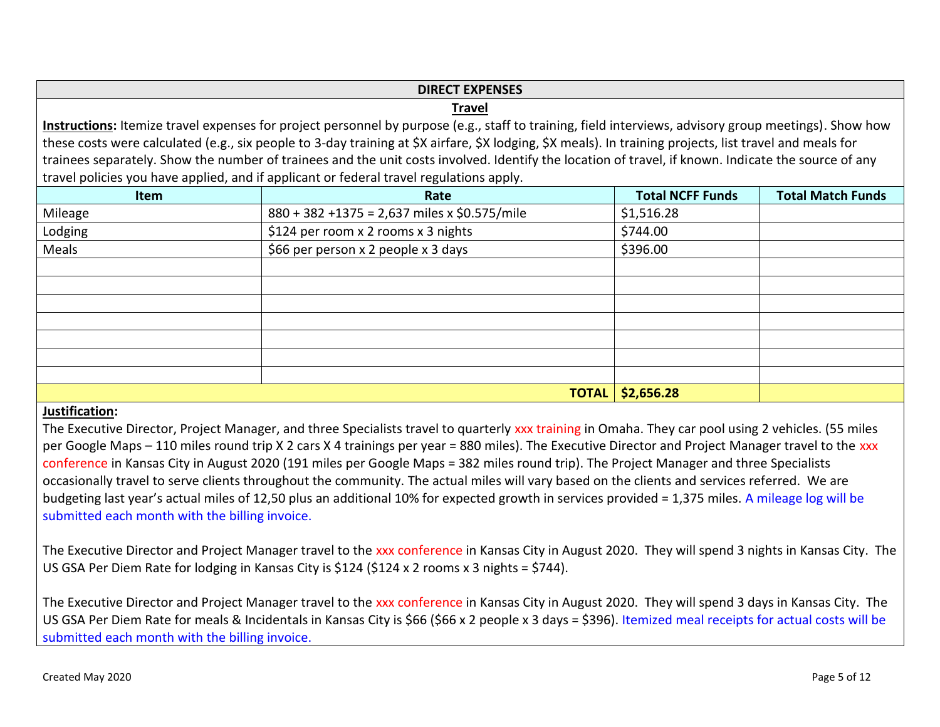# **DIRECT EXPENSES**

#### **Travel**

**Instructions:** Itemize travel expenses for project personnel by purpose (e.g., staff to training, field interviews, advisory group meetings). Show how these costs were calculated (e.g., six people to 3-day training at \$X airfare, \$X lodging, \$X meals). In training projects, list travel and meals for trainees separately. Show the number of trainees and the unit costs involved. Identify the location of travel, if known. Indicate the source of any travel policies you have applied, and if applicant or federal travel regulations apply.

| Item    | Rate                                         | <b>Total NCFF Funds</b> | <b>Total Match Funds</b> |
|---------|----------------------------------------------|-------------------------|--------------------------|
| Mileage | 880 + 382 +1375 = 2,637 miles x \$0.575/mile | \$1,516.28              |                          |
| Lodging | \$124 per room x 2 rooms x 3 nights          | \$744.00                |                          |
| Meals   | \$66 per person x 2 people x 3 days          | \$396.00                |                          |
|         |                                              |                         |                          |
|         |                                              |                         |                          |
|         |                                              |                         |                          |
|         |                                              |                         |                          |
|         |                                              |                         |                          |
|         |                                              |                         |                          |
|         |                                              |                         |                          |
|         | <b>TOTAL</b>                                 | \$2,656.28              |                          |

# **Justification:**

The Executive Director, Project Manager, and three Specialists travel to quarterly xxx training in Omaha. They car pool using 2 vehicles. (55 miles per Google Maps – 110 miles round trip X 2 cars X 4 trainings per year = 880 miles). The Executive Director and Project Manager travel to the xxx conference in Kansas City in August 2020 (191 miles per Google Maps = 382 miles round trip). The Project Manager and three Specialists occasionally travel to serve clients throughout the community. The actual miles will vary based on the clients and services referred. We are budgeting last year's actual miles of 12,50 plus an additional 10% for expected growth in services provided = 1,375 miles. A mileage log will be submitted each month with the billing invoice.

The Executive Director and Project Manager travel to the xxx conference in Kansas City in August 2020. They will spend 3 nights in Kansas City. The US GSA Per Diem Rate for lodging in Kansas City is \$124 (\$124 x 2 rooms x 3 nights = \$744).

The Executive Director and Project Manager travel to the xxx conference in Kansas City in August 2020. They will spend 3 days in Kansas City. The US GSA Per Diem Rate for meals & Incidentals in Kansas City is \$66 (\$66 x 2 people x 3 days = \$396). Itemized meal receipts for actual costs will be submitted each month with the billing invoice.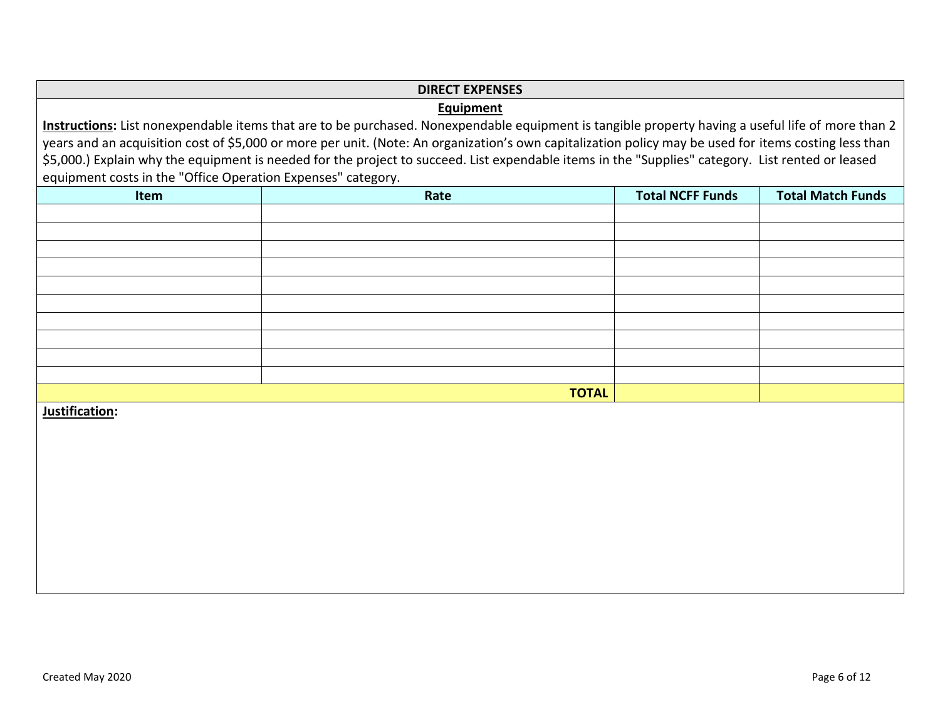#### **DIRECT EXPENSES**

#### **Equipment**

**Instructions:** List nonexpendable items that are to be purchased. Nonexpendable equipment is tangible property having a useful life of more than 2 years and an acquisition cost of \$5,000 or more per unit. (Note: An organization's own capitalization policy may be used for items costing less than \$5,000.) Explain why the equipment is needed for the project to succeed. List expendable items in the "Supplies" category. List rented or leased equipment costs in the "Office Operation Expenses" category.

| Item | Rate         | <b>Total NCFF Funds</b> | <b>Total Match Funds</b> |
|------|--------------|-------------------------|--------------------------|
|      |              |                         |                          |
|      |              |                         |                          |
|      |              |                         |                          |
|      |              |                         |                          |
|      |              |                         |                          |
|      |              |                         |                          |
|      |              |                         |                          |
|      |              |                         |                          |
|      |              |                         |                          |
|      |              |                         |                          |
|      | <b>TOTAL</b> |                         |                          |

**Justification:**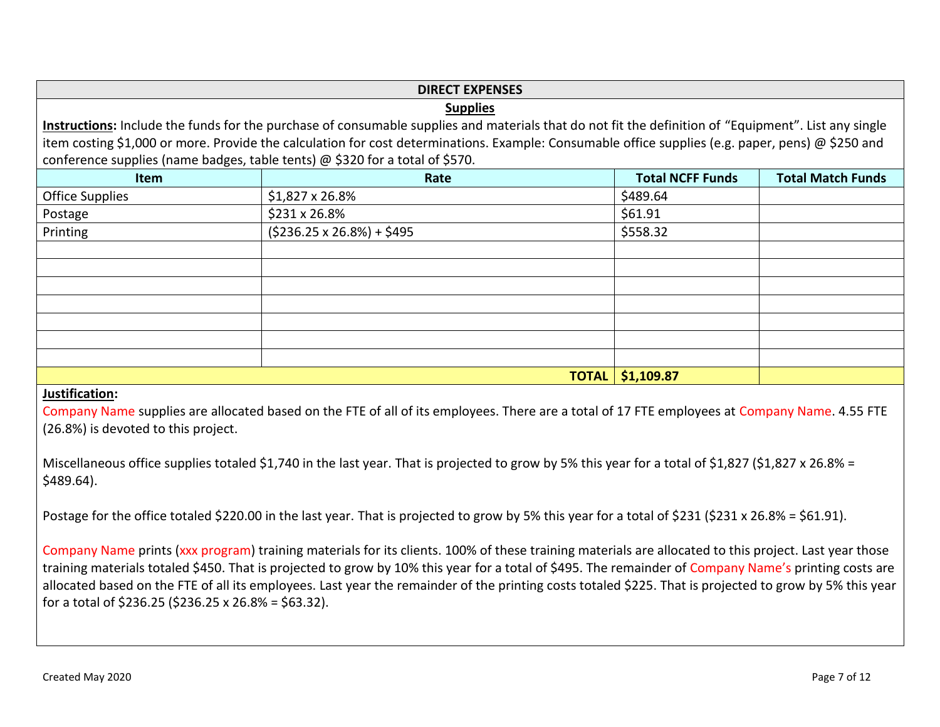|                                                                                                                                                      | <b>DIRECT EXPENSES</b>                                                                                                                            |          |  |  |
|------------------------------------------------------------------------------------------------------------------------------------------------------|---------------------------------------------------------------------------------------------------------------------------------------------------|----------|--|--|
| <b>Supplies</b>                                                                                                                                      |                                                                                                                                                   |          |  |  |
| Instructions: Include the funds for the purchase of consumable supplies and materials that do not fit the definition of "Equipment". List any single |                                                                                                                                                   |          |  |  |
|                                                                                                                                                      | item costing \$1,000 or more. Provide the calculation for cost determinations. Example: Consumable office supplies (e.g. paper, pens) @ \$250 and |          |  |  |
| conference supplies (name badges, table tents) @ \$320 for a total of \$570.                                                                         |                                                                                                                                                   |          |  |  |
| <b>Item</b>                                                                                                                                          | <b>Total NCFF Funds</b><br><b>Total Match Funds</b><br>Rate                                                                                       |          |  |  |
| Office Supplies                                                                                                                                      | $$1,827 \times 26.8\%$                                                                                                                            | \$489.64 |  |  |
| Postage                                                                                                                                              | $$231 \times 26.8\%$                                                                                                                              | \$61.91  |  |  |
| Printing                                                                                                                                             | $(5236.25 \times 26.8\%) + 5495$                                                                                                                  | \$558.32 |  |  |
|                                                                                                                                                      |                                                                                                                                                   |          |  |  |
|                                                                                                                                                      |                                                                                                                                                   |          |  |  |
|                                                                                                                                                      |                                                                                                                                                   |          |  |  |
|                                                                                                                                                      |                                                                                                                                                   |          |  |  |
|                                                                                                                                                      |                                                                                                                                                   |          |  |  |
|                                                                                                                                                      |                                                                                                                                                   |          |  |  |
|                                                                                                                                                      |                                                                                                                                                   |          |  |  |
| <b>TOTAL \$1,109.87</b>                                                                                                                              |                                                                                                                                                   |          |  |  |

# **Justification:**

Company Name supplies are allocated based on the FTE of all of its employees. There are a total of 17 FTE employees at Company Name. 4.55 FTE (26.8%) is devoted to this project.

Miscellaneous office supplies totaled \$1,740 in the last year. That is projected to grow by 5% this year for a total of \$1,827 (\$1,827 x 26.8% = \$489.64).

Postage for the office totaled \$220.00 in the last year. That is projected to grow by 5% this year for a total of \$231 (\$231 x 26.8% = \$61.91).

Company Name prints (xxx program) training materials for its clients. 100% of these training materials are allocated to this project. Last year those training materials totaled \$450. That is projected to grow by 10% this year for a total of \$495. The remainder of Company Name's printing costs are allocated based on the FTE of all its employees. Last year the remainder of the printing costs totaled \$225. That is projected to grow by 5% this year for a total of \$236.25 (\$236.25 x 26.8% = \$63.32).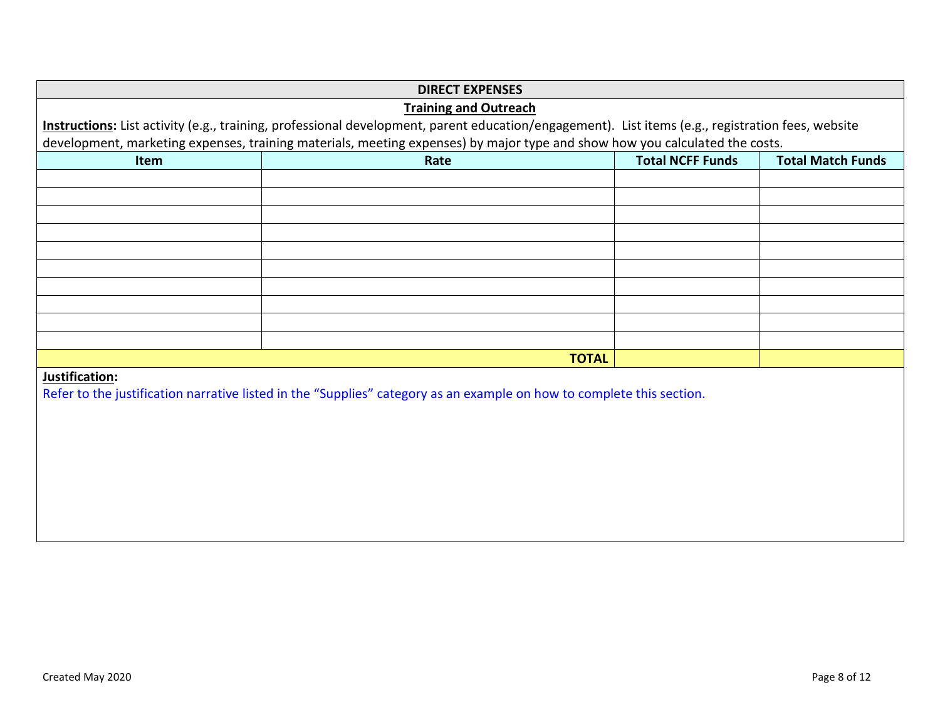|                | <b>DIRECT EXPENSES</b>                                                                                                                            |  |  |  |  |
|----------------|---------------------------------------------------------------------------------------------------------------------------------------------------|--|--|--|--|
|                | <b>Training and Outreach</b>                                                                                                                      |  |  |  |  |
|                | Instructions: List activity (e.g., training, professional development, parent education/engagement). List items (e.g., registration fees, website |  |  |  |  |
|                | development, marketing expenses, training materials, meeting expenses) by major type and show how you calculated the costs.                       |  |  |  |  |
| Item           | <b>Total NCFF Funds</b><br><b>Total Match Funds</b><br>Rate                                                                                       |  |  |  |  |
|                |                                                                                                                                                   |  |  |  |  |
|                |                                                                                                                                                   |  |  |  |  |
|                |                                                                                                                                                   |  |  |  |  |
|                |                                                                                                                                                   |  |  |  |  |
|                |                                                                                                                                                   |  |  |  |  |
|                |                                                                                                                                                   |  |  |  |  |
|                |                                                                                                                                                   |  |  |  |  |
|                |                                                                                                                                                   |  |  |  |  |
|                |                                                                                                                                                   |  |  |  |  |
|                |                                                                                                                                                   |  |  |  |  |
|                | <b>TOTAL</b>                                                                                                                                      |  |  |  |  |
| Justification: | Refer to the justification narrative listed in the "Supplies" category as an example on how to complete this section.                             |  |  |  |  |
|                |                                                                                                                                                   |  |  |  |  |
|                |                                                                                                                                                   |  |  |  |  |
|                |                                                                                                                                                   |  |  |  |  |
|                |                                                                                                                                                   |  |  |  |  |
|                |                                                                                                                                                   |  |  |  |  |
|                |                                                                                                                                                   |  |  |  |  |
|                |                                                                                                                                                   |  |  |  |  |
|                |                                                                                                                                                   |  |  |  |  |
|                |                                                                                                                                                   |  |  |  |  |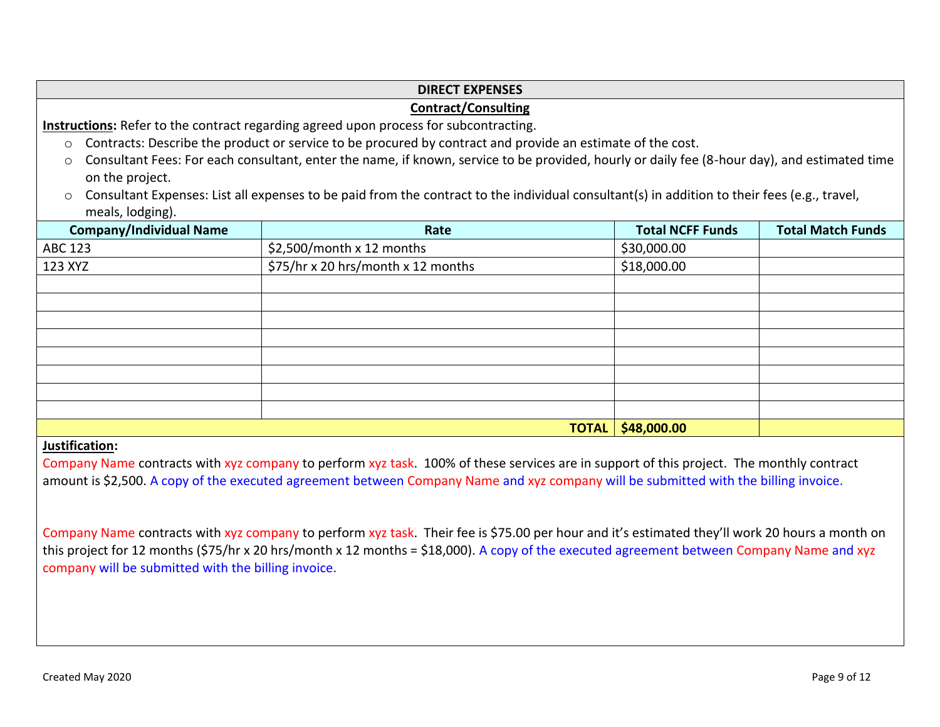# **DIRECT EXPENSES Contract/Consulting Instructions:** Refer to the contract regarding agreed upon process for subcontracting. o Contracts: Describe the product or service to be procured by contract and provide an estimate of the cost. o Consultant Fees: For each consultant, enter the name, if known, service to be provided, hourly or daily fee (8-hour day), and estimated time on the project. o Consultant Expenses: List all expenses to be paid from the contract to the individual consultant(s) in addition to their fees (e.g., travel, meals, lodging). **Company/Individual Name Rate Total NCFF Funds Total Match Funds** ABC 123 \$2,500/month x 12 months \$30,000.00 123 XYZ  $\frac{123 \times 75}{123 \times 120}$  \$75/hr x 20 hrs/month x 12 months  $\frac{123 \times 75}{123}$ **TOTAL \$48,000.00**

# **Justification:**

Company Name contracts with xyz company to perform xyz task. 100% of these services are in support of this project. The monthly contract amount is \$2,500. A copy of the executed agreement between Company Name and xyz company will be submitted with the billing invoice.

Company Name contracts with xyz company to perform xyz task. Their fee is \$75.00 per hour and it's estimated they'll work 20 hours a month on this project for 12 months (\$75/hr x 20 hrs/month x 12 months = \$18,000). A copy of the executed agreement between Company Name and xyz company will be submitted with the billing invoice.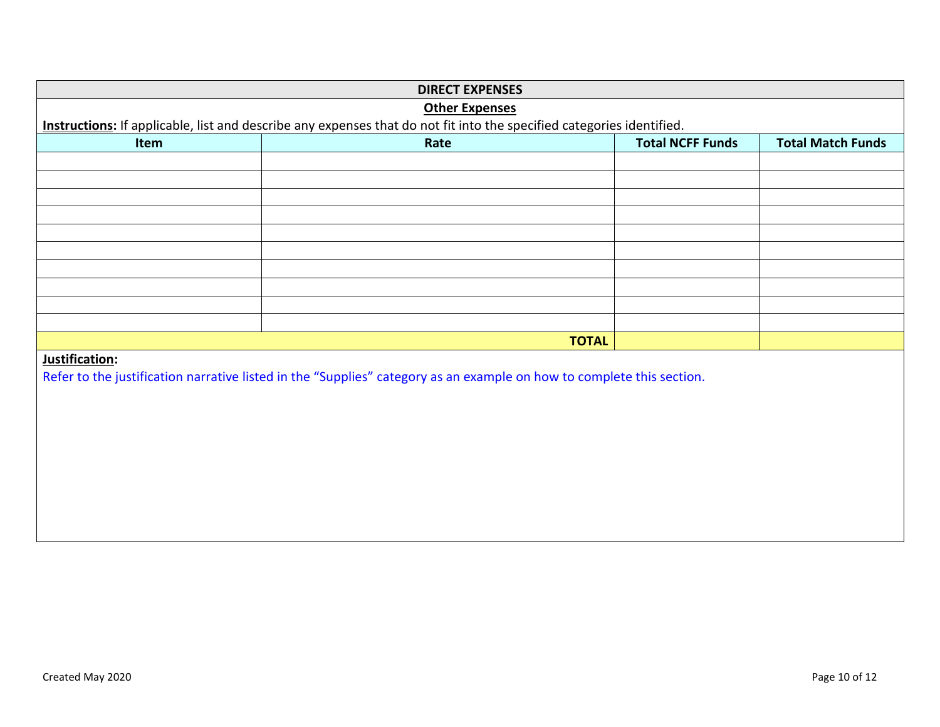| <b>DIRECT EXPENSES</b> |                                                                                                                       |                         |                          |  |  |
|------------------------|-----------------------------------------------------------------------------------------------------------------------|-------------------------|--------------------------|--|--|
|                        | <b>Other Expenses</b>                                                                                                 |                         |                          |  |  |
|                        | Instructions: If applicable, list and describe any expenses that do not fit into the specified categories identified. |                         |                          |  |  |
| Item                   | Rate                                                                                                                  | <b>Total NCFF Funds</b> | <b>Total Match Funds</b> |  |  |
|                        |                                                                                                                       |                         |                          |  |  |
|                        |                                                                                                                       |                         |                          |  |  |
|                        |                                                                                                                       |                         |                          |  |  |
|                        |                                                                                                                       |                         |                          |  |  |
|                        |                                                                                                                       |                         |                          |  |  |
|                        |                                                                                                                       |                         |                          |  |  |
|                        |                                                                                                                       |                         |                          |  |  |
|                        |                                                                                                                       |                         |                          |  |  |
|                        |                                                                                                                       |                         |                          |  |  |
|                        |                                                                                                                       |                         |                          |  |  |
|                        | <b>TOTAL</b>                                                                                                          |                         |                          |  |  |
| Justification:         |                                                                                                                       |                         |                          |  |  |
|                        | Refer to the justification narrative listed in the "Supplies" category as an example on how to complete this section. |                         |                          |  |  |
|                        |                                                                                                                       |                         |                          |  |  |
|                        |                                                                                                                       |                         |                          |  |  |
|                        |                                                                                                                       |                         |                          |  |  |
|                        |                                                                                                                       |                         |                          |  |  |
|                        |                                                                                                                       |                         |                          |  |  |
|                        |                                                                                                                       |                         |                          |  |  |
|                        |                                                                                                                       |                         |                          |  |  |
|                        |                                                                                                                       |                         |                          |  |  |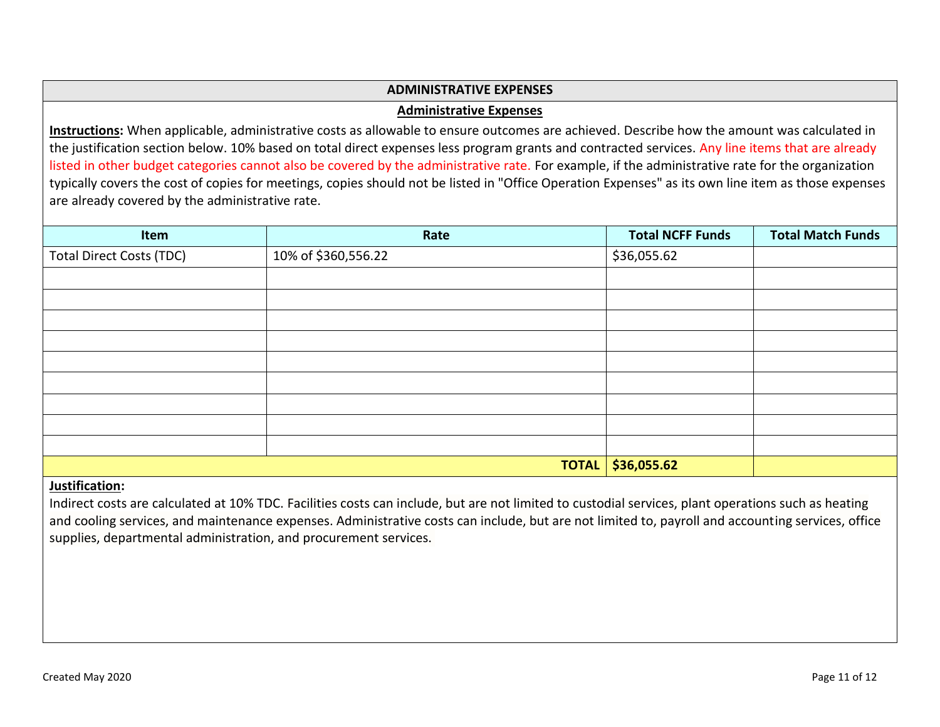## **ADMINISTRATIVE EXPENSES**

#### **Administrative Expenses**

**Instructions:** When applicable, administrative costs as allowable to ensure outcomes are achieved. Describe how the amount was calculated in the justification section below. 10% based on total direct expenses less program grants and contracted services. Any line items that are already listed in other budget categories cannot also be covered by the administrative rate. For example, if the administrative rate for the organization typically covers the cost of copies for meetings, copies should not be listed in "Office Operation Expenses" as its own line item as those expenses are already covered by the administrative rate.

| Item                                     | Rate                | <b>Total NCFF Funds</b> | <b>Total Match Funds</b> |
|------------------------------------------|---------------------|-------------------------|--------------------------|
| <b>Total Direct Costs (TDC)</b>          | 10% of \$360,556.22 | \$36,055.62             |                          |
|                                          |                     |                         |                          |
|                                          |                     |                         |                          |
|                                          |                     |                         |                          |
|                                          |                     |                         |                          |
|                                          |                     |                         |                          |
|                                          |                     |                         |                          |
|                                          |                     |                         |                          |
|                                          |                     |                         |                          |
|                                          |                     |                         |                          |
|                                          | <b>TOTAL</b>        | \$36,055.62             |                          |
| $\mathbf{r}$ . The state of $\mathbf{r}$ |                     |                         |                          |

#### **Justification:**

Indirect costs are calculated at 10% TDC. Facilities costs can include, but are not limited to custodial services, plant operations such as heating and cooling services, and maintenance expenses. Administrative costs can include, but are not limited to, payroll and accounting services, office supplies, departmental administration, and procurement services.